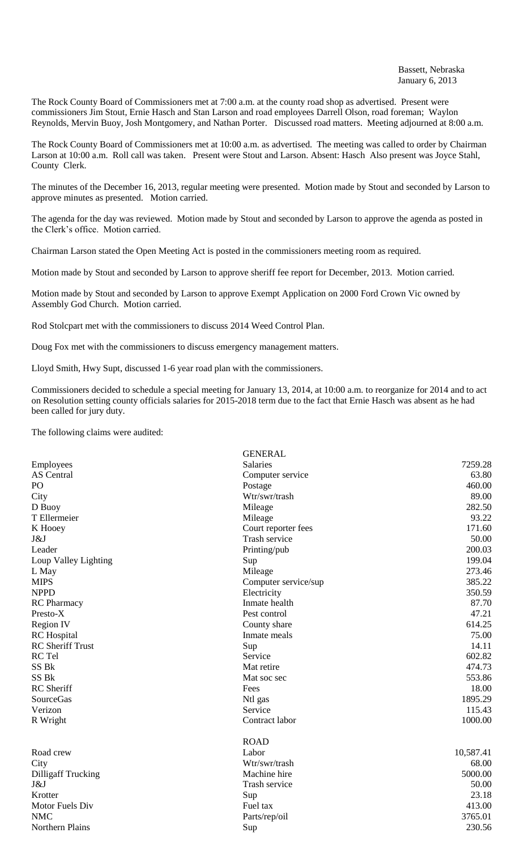The Rock County Board of Commissioners met at 7:00 a.m. at the county road shop as advertised. Present were commissioners Jim Stout, Ernie Hasch and Stan Larson and road employees Darrell Olson, road foreman; Waylon Reynolds, Mervin Buoy, Josh Montgomery, and Nathan Porter. Discussed road matters. Meeting adjourned at 8:00 a.m.

The Rock County Board of Commissioners met at 10:00 a.m. as advertised. The meeting was called to order by Chairman Larson at 10:00 a.m. Roll call was taken. Present were Stout and Larson. Absent: Hasch Also present was Joyce Stahl, County Clerk.

The minutes of the December 16, 2013, regular meeting were presented. Motion made by Stout and seconded by Larson to approve minutes as presented. Motion carried.

The agenda for the day was reviewed. Motion made by Stout and seconded by Larson to approve the agenda as posted in the Clerk's office. Motion carried.

Chairman Larson stated the Open Meeting Act is posted in the commissioners meeting room as required.

Motion made by Stout and seconded by Larson to approve sheriff fee report for December, 2013. Motion carried.

Motion made by Stout and seconded by Larson to approve Exempt Application on 2000 Ford Crown Vic owned by Assembly God Church. Motion carried.

Rod Stolcpart met with the commissioners to discuss 2014 Weed Control Plan.

Doug Fox met with the commissioners to discuss emergency management matters.

Lloyd Smith, Hwy Supt, discussed 1-6 year road plan with the commissioners.

Commissioners decided to schedule a special meeting for January 13, 2014, at 10:00 a.m. to reorganize for 2014 and to act on Resolution setting county officials salaries for 2015-2018 term due to the fact that Ernie Hasch was absent as he had been called for jury duty.

The following claims were audited:

|                           | <b>GENERAL</b>       |           |
|---------------------------|----------------------|-----------|
| Employees                 | <b>Salaries</b>      | 7259.28   |
| <b>AS</b> Central         | Computer service     | 63.80     |
| PO                        | Postage              | 460.00    |
| City                      | Wtr/swr/trash        | 89.00     |
| D Buoy                    | Mileage              | 282.50    |
| T Ellermeier              | Mileage              | 93.22     |
| K Hooey                   | Court reporter fees  | 171.60    |
| J&J                       | Trash service        | 50.00     |
| Leader                    | Printing/pub         | 200.03    |
| Loup Valley Lighting      | Sup                  | 199.04    |
| L May                     | Mileage              | 273.46    |
| <b>MIPS</b>               | Computer service/sup | 385.22    |
| <b>NPPD</b>               | Electricity          | 350.59    |
| <b>RC</b> Pharmacy        | Inmate health        | 87.70     |
| Presto-X                  | Pest control         | 47.21     |
| Region IV                 | County share         | 614.25    |
| <b>RC</b> Hospital        | Inmate meals         | 75.00     |
| <b>RC</b> Sheriff Trust   | Sup                  | 14.11     |
| RC Tel                    | Service              | 602.82    |
| SS Bk                     | Mat retire           | 474.73    |
| SS Bk                     | Mat soc sec          | 553.86    |
| <b>RC</b> Sheriff         | Fees                 | 18.00     |
| <b>SourceGas</b>          | Ntl gas              | 1895.29   |
| Verizon                   | Service              | 115.43    |
| R Wright                  | Contract labor       | 1000.00   |
|                           | <b>ROAD</b>          |           |
| Road crew                 | Labor                | 10,587.41 |
| City                      | Wtr/swr/trash        | 68.00     |
| <b>Dilligaff Trucking</b> | Machine hire         | 5000.00   |
| J&J                       | Trash service        | 50.00     |
| Krotter                   | Sup                  | 23.18     |
| Motor Fuels Div           | Fuel tax             | 413.00    |
| <b>NMC</b>                | Parts/rep/oil        | 3765.01   |
| Northern Plains           | Sup                  | 230.56    |